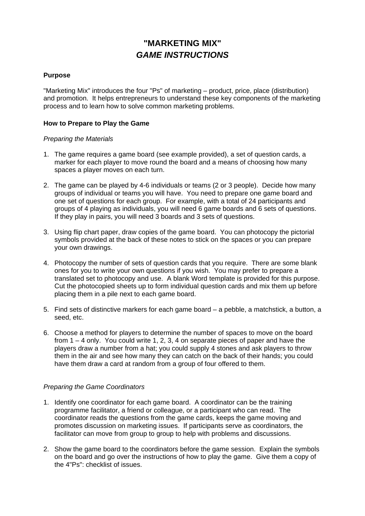# **"MARKETING MIX"**  *GAME INSTRUCTIONS*

#### **Purpose**

"Marketing Mix" introduces the four "Ps" of marketing – product, price, place (distribution) and promotion. It helps entrepreneurs to understand these key components of the marketing process and to learn how to solve common marketing problems.

#### **How to Prepare to Play the Game**

#### *Preparing the Materials*

- 1. The game requires a game board (see example provided), a set of question cards, a marker for each player to move round the board and a means of choosing how many spaces a player moves on each turn.
- 2. The game can be played by 4-6 individuals or teams (2 or 3 people). Decide how many groups of individual or teams you will have. You need to prepare one game board and one set of questions for each group. For example, with a total of 24 participants and groups of 4 playing as individuals, you will need 6 game boards and 6 sets of questions. If they play in pairs, you will need 3 boards and 3 sets of questions.
- 3. Using flip chart paper, draw copies of the game board. You can photocopy the pictorial symbols provided at the back of these notes to stick on the spaces or you can prepare your own drawings.
- 4. Photocopy the number of sets of question cards that you require. There are some blank ones for you to write your own questions if you wish. You may prefer to prepare a translated set to photocopy and use. A blank Word template is provided for this purpose. Cut the photocopied sheets up to form individual question cards and mix them up before placing them in a pile next to each game board.
- 5. Find sets of distinctive markers for each game board a pebble, a matchstick, a button, a seed, etc.
- 6. Choose a method for players to determine the number of spaces to move on the board from 1 – 4 only. You could write 1, 2, 3, 4 on separate pieces of paper and have the players draw a number from a hat; you could supply 4 stones and ask players to throw them in the air and see how many they can catch on the back of their hands; you could have them draw a card at random from a group of four offered to them.

### *Preparing the Game Coordinators*

- 1. Identify one coordinator for each game board. A coordinator can be the training programme facilitator, a friend or colleague, or a participant who can read. The coordinator reads the questions from the game cards, keeps the game moving and promotes discussion on marketing issues. If participants serve as coordinators, the facilitator can move from group to group to help with problems and discussions.
- 2. Show the game board to the coordinators before the game session. Explain the symbols on the board and go over the instructions of how to play the game. Give them a copy of the 4"Ps": checklist of issues.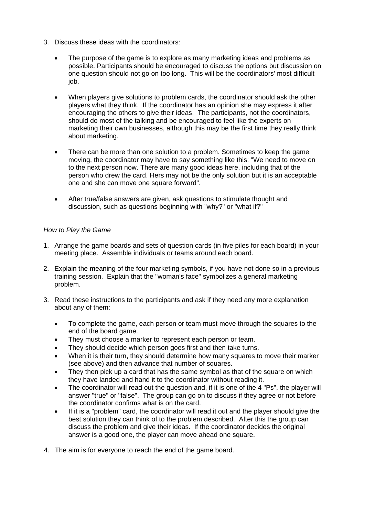- 3. Discuss these ideas with the coordinators:
	- The purpose of the game is to explore as many marketing ideas and problems as possible. Participants should be encouraged to discuss the options but discussion on one question should not go on too long. This will be the coordinators' most difficult job.
	- When players give solutions to problem cards, the coordinator should ask the other players what they think. If the coordinator has an opinion she may express it after encouraging the others to give their ideas. The participants, not the coordinators, should do most of the talking and be encouraged to feel like the experts on marketing their own businesses, although this may be the first time they really think about marketing.
	- There can be more than one solution to a problem. Sometimes to keep the game moving, the coordinator may have to say something like this: "We need to move on to the next person now. There are many good ideas here, including that of the person who drew the card. Hers may not be the only solution but it is an acceptable one and she can move one square forward".
	- After true/false answers are given, ask questions to stimulate thought and discussion, such as questions beginning with "why?" or "what if?"

### *How to Play the Game*

- 1. Arrange the game boards and sets of question cards (in five piles for each board) in your meeting place. Assemble individuals or teams around each board.
- 2. Explain the meaning of the four marketing symbols, if you have not done so in a previous training session. Explain that the "woman's face" symbolizes a general marketing problem.
- 3. Read these instructions to the participants and ask if they need any more explanation about any of them:
	- To complete the game, each person or team must move through the squares to the end of the board game.
	- They must choose a marker to represent each person or team.
	- They should decide which person goes first and then take turns.
	- When it is their turn, they should determine how many squares to move their marker (see above) and then advance that number of squares.
	- They then pick up a card that has the same symbol as that of the square on which they have landed and hand it to the coordinator without reading it.
	- The coordinator will read out the question and, if it is one of the 4 "Ps", the player will answer "true" or "false". The group can go on to discuss if they agree or not before the coordinator confirms what is on the card.
	- If it is a "problem" card, the coordinator will read it out and the player should give the best solution they can think of to the problem described. After this the group can discuss the problem and give their ideas. If the coordinator decides the original answer is a good one, the player can move ahead one square.
- 4. The aim is for everyone to reach the end of the game board.